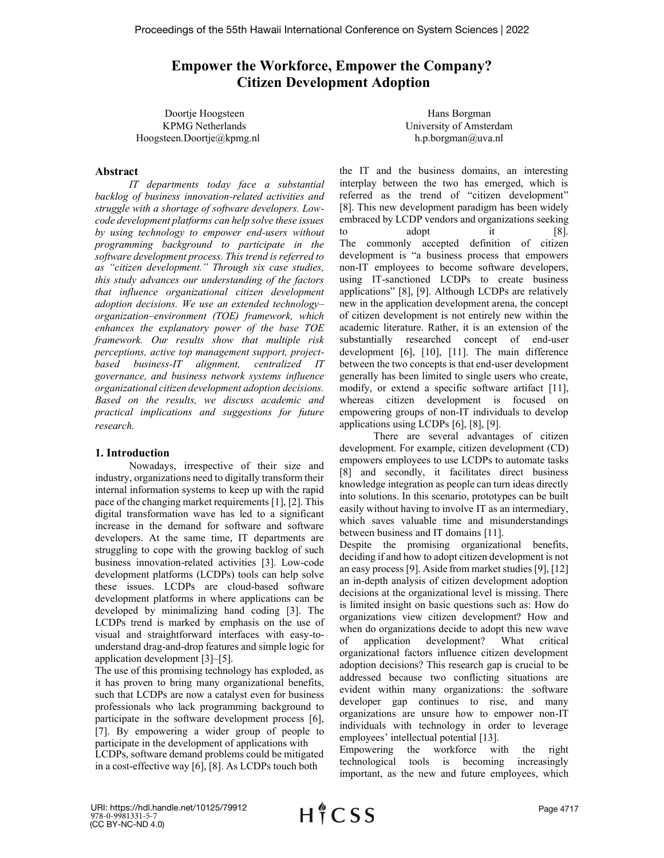# **Empower the Workforce, Empower the Company? Citizen Development Adoption**

Doortje Hoogsteen KPMG Netherlands Hoogsteen.Doortje@kpmg.nl

# Hans Borgman University of Amsterdam h.p.borgman@uva.nl

# **Abstract**

*IT departments today face a substantial backlog of business innovation-related activities and struggle with a shortage of software developers. Lowcode development platforms can help solve these issues by using technology to empower end-users without programming background to participate in the software development process. This trend is referred to as "citizen development." Through six case studies, this study advances our understanding of the factors that influence organizational citizen development adoption decisions. We use an extended technology– organization–environment (TOE) framework, which enhances the explanatory power of the base TOE framework. Our results show that multiple risk perceptions, active top management support, projectbased business-IT alignment, centralized IT governance, and business network systems influence organizational citizen development adoption decisions. Based on the results, we discuss academic and practical implications and suggestions for future research.* 

# **1. Introduction**

Nowadays, irrespective of their size and industry, organizations need to digitally transform their internal information systems to keep up with the rapid pace of the changing market requirements [1], [2]. This digital transformation wave has led to a significant increase in the demand for software and software developers. At the same time, IT departments are struggling to cope with the growing backlog of such business innovation-related activities [3]. Low-code development platforms (LCDPs) tools can help solve these issues. LCDPs are cloud-based software development platforms in where applications can be developed by minimalizing hand coding [3]. The LCDPs trend is marked by emphasis on the use of visual and straightforward interfaces with easy-tounderstand drag-and-drop features and simple logic for application development [3]–[5].

The use of this promising technology has exploded, as it has proven to bring many organizational benefits, such that LCDPs are now a catalyst even for business professionals who lack programming background to participate in the software development process [6], [7]. By empowering a wider group of people to participate in the development of applications with LCDPs, software demand problems could be mitigated in a cost-effective way [6], [8]. As LCDPs touch both

the IT and the business domains, an interesting interplay between the two has emerged, which is referred as the trend of "citizen development" [8]. This new development paradigm has been widely embraced by LCDP vendors and organizations seeking to adopt it [8]. The commonly accepted definition of citizen development is "a business process that empowers non-IT employees to become software developers, using IT-sanctioned LCDPs to create business applications" [8], [9]. Although LCDPs are relatively new in the application development arena, the concept of citizen development is not entirely new within the academic literature. Rather, it is an extension of the substantially researched concept of end-user development [6], [10], [11]. The main difference between the two concepts is that end-user development generally has been limited to single users who create, modify, or extend a specific software artifact [11], whereas citizen development is focused on empowering groups of non-IT individuals to develop applications using LCDPs [6], [8], [9].

There are several advantages of citizen development. For example, citizen development (CD) empowers employees to use LCDPs to automate tasks [8] and secondly, it facilitates direct business knowledge integration as people can turn ideas directly into solutions. In this scenario, prototypes can be built easily without having to involve IT as an intermediary, which saves valuable time and misunderstandings between business and IT domains [11].

Despite the promising organizational benefits, deciding if and how to adopt citizen development is not an easy process [9]. Aside from market studies [9], [12] an in-depth analysis of citizen development adoption decisions at the organizational level is missing. There is limited insight on basic questions such as: How do organizations view citizen development? How and when do organizations decide to adopt this new wave of application development? What critical organizational factors influence citizen development adoption decisions? This research gap is crucial to be addressed because two conflicting situations are evident within many organizations: the software developer gap continues to rise, and many organizations are unsure how to empower non-IT individuals with technology in order to leverage employees' intellectual potential [13].

Empowering the workforce with the right technological tools is becoming increasingly important, as the new and future employees, which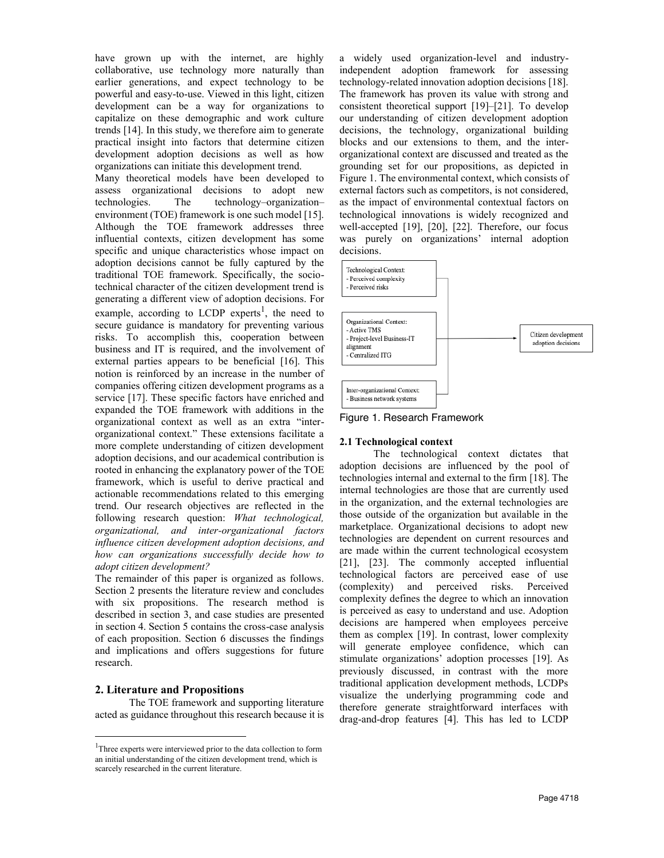have grown up with the internet, are highly collaborative, use technology more naturally than earlier generations, and expect technology to be powerful and easy-to-use. Viewed in this light, citizen development can be a way for organizations to capitalize on these demographic and work culture trends [14]. In this study, we therefore aim to generate practical insight into factors that determine citizen development adoption decisions as well as how organizations can initiate this development trend.

Many theoretical models have been developed to assess organizational decisions to adopt new technologies. The technology–organization– environment (TOE) framework is one such model [15]. Although the TOE framework addresses three influential contexts, citizen development has some specific and unique characteristics whose impact on adoption decisions cannot be fully captured by the traditional TOE framework. Specifically, the sociotechnical character of the citizen development trend is generating a different view of adoption decisions. For example, according to LCDP experts<sup>1</sup>, the need to secure guidance is mandatory for preventing various risks. To accomplish this, cooperation between business and IT is required, and the involvement of external parties appears to be beneficial [16]. This notion is reinforced by an increase in the number of companies offering citizen development programs as a service [17]. These specific factors have enriched and expanded the TOE framework with additions in the organizational context as well as an extra "interorganizational context." These extensions facilitate a more complete understanding of citizen development adoption decisions, and our academical contribution is rooted in enhancing the explanatory power of the TOE framework, which is useful to derive practical and actionable recommendations related to this emerging trend. Our research objectives are reflected in the following research question: *What technological, organizational, and inter-organizational factors influence citizen development adoption decisions, and how can organizations successfully decide how to adopt citizen development?*

The remainder of this paper is organized as follows. Section 2 presents the literature review and concludes with six propositions. The research method is described in section 3, and case studies are presented in section 4. Section 5 contains the cross-case analysis of each proposition. Section 6 discusses the findings and implications and offers suggestions for future research.

# **2. Literature and Propositions**

The TOE framework and supporting literature acted as guidance throughout this research because it is a widely used organization-level and industryindependent adoption framework for assessing technology-related innovation adoption decisions [18]. The framework has proven its value with strong and consistent theoretical support [19]–[21]. To develop our understanding of citizen development adoption decisions, the technology, organizational building blocks and our extensions to them, and the interorganizational context are discussed and treated as the grounding set for our propositions, as depicted in Figure 1. The environmental context, which consists of external factors such as competitors, is not considered, as the impact of environmental contextual factors on technological innovations is widely recognized and well-accepted [19], [20], [22]. Therefore, our focus was purely on organizations' internal adoption decisions.





# **2.1 Technological context**

The technological context dictates that adoption decisions are influenced by the pool of technologies internal and external to the firm [18]. The internal technologies are those that are currently used in the organization, and the external technologies are those outside of the organization but available in the marketplace. Organizational decisions to adopt new technologies are dependent on current resources and are made within the current technological ecosystem [21], [23]. The commonly accepted influential technological factors are perceived ease of use (complexity) and perceived risks. Perceived complexity defines the degree to which an innovation is perceived as easy to understand and use. Adoption decisions are hampered when employees perceive them as complex [19]. In contrast, lower complexity will generate employee confidence, which can stimulate organizations' adoption processes [19]. As previously discussed, in contrast with the more traditional application development methods, LCDPs visualize the underlying programming code and therefore generate straightforward interfaces with drag-and-drop features [4]. This has led to LCDP

<sup>&</sup>lt;sup>1</sup>Three experts were interviewed prior to the data collection to form an initial understanding of the citizen development trend, which is scarcely researched in the current literature.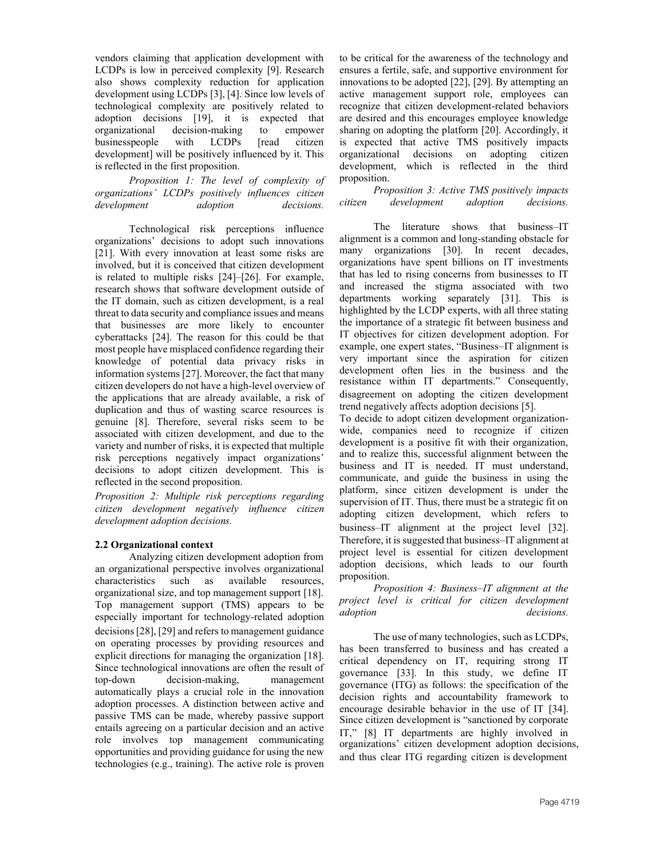vendors claiming that application development with LCDPs is low in perceived complexity [9]. Research also shows complexity reduction for application development using LCDPs [3], [4]. Since low levels of technological complexity are positively related to adoption decisions [19], it is expected that organizational decision-making to empower businesspeople with LCDPs [read citizen development] will be positively influenced by it. This is reflected in the first proposition.

*Proposition 1: The level of complexity of organizations' LCDPs positively influences citizen development adoption decisions.*

Technological risk perceptions influence organizations' decisions to adopt such innovations [21]. With every innovation at least some risks are involved, but it is conceived that citizen development is related to multiple risks [24]–[26]. For example, research shows that software development outside of the IT domain, such as citizen development, is a real threat to data security and compliance issues and means that businesses are more likely to encounter cyberattacks [24]. The reason for this could be that most people have misplaced confidence regarding their knowledge of potential data privacy risks in information systems [27]. Moreover, the fact that many citizen developers do not have a high-level overview of the applications that are already available, a risk of duplication and thus of wasting scarce resources is genuine [8]. Therefore, several risks seem to be associated with citizen development, and due to the variety and number of risks, it is expected that multiple risk perceptions negatively impact organizations' decisions to adopt citizen development. This is reflected in the second proposition.

*Proposition 2: Multiple risk perceptions regarding citizen development negatively influence citizen development adoption decisions.* 

# **2.2 Organizational context**

Analyzing citizen development adoption from an organizational perspective involves organizational characteristics such as available resources, organizational size, and top management support [18]. Top management support (TMS) appears to be especially important for technology-related adoption decisions [28], [29] and refers to management guidance on operating processes by providing resources and explicit directions for managing the organization [18]. Since technological innovations are often the result of top-down decision-making, management automatically plays a crucial role in the innovation adoption processes. A distinction between active and passive TMS can be made, whereby passive support entails agreeing on a particular decision and an active role involves top management communicating opportunities and providing guidance for using the new technologies (e.g., training). The active role is proven

to be critical for the awareness of the technology and ensures a fertile, safe, and supportive environment for innovations to be adopted [22], [29]. By attempting an active management support role, employees can recognize that citizen development-related behaviors are desired and this encourages employee knowledge sharing on adopting the platform [20]. Accordingly, it is expected that active TMS positively impacts organizational decisions on adopting citizen development, which is reflected in the third proposition.

*Proposition 3: Active TMS positively impacts citizen development adoption decisions.* 

The literature shows that business–IT alignment is a common and long-standing obstacle for many organizations [30]. In recent decades, organizations have spent billions on IT investments that has led to rising concerns from businesses to IT and increased the stigma associated with two departments working separately [31]. This is highlighted by the LCDP experts, with all three stating the importance of a strategic fit between business and IT objectives for citizen development adoption. For example, one expert states, "Business–IT alignment is very important since the aspiration for citizen development often lies in the business and the resistance within IT departments." Consequently, disagreement on adopting the citizen development trend negatively affects adoption decisions [5].

To decide to adopt citizen development organizationwide, companies need to recognize if citizen development is a positive fit with their organization, and to realize this, successful alignment between the business and IT is needed. IT must understand, communicate, and guide the business in using the platform, since citizen development is under the supervision of IT. Thus, there must be a strategic fit on adopting citizen development, which refers to business–IT alignment at the project level [32]. Therefore, it is suggested that business–IT alignment at project level is essential for citizen development adoption decisions, which leads to our fourth proposition.

*Proposition 4: Business–IT alignment at the project level is critical for citizen development adoption decisions.* 

The use of many technologies, such as LCDPs, has been transferred to business and has created a critical dependency on IT, requiring strong IT governance [33]. In this study, we define IT governance (ITG) as follows: the specification of the decision rights and accountability framework to encourage desirable behavior in the use of IT [34]. Since citizen development is "sanctioned by corporate IT," [8] IT departments are highly involved in organizations' citizen development adoption decisions, and thus clear ITG regarding citizen is development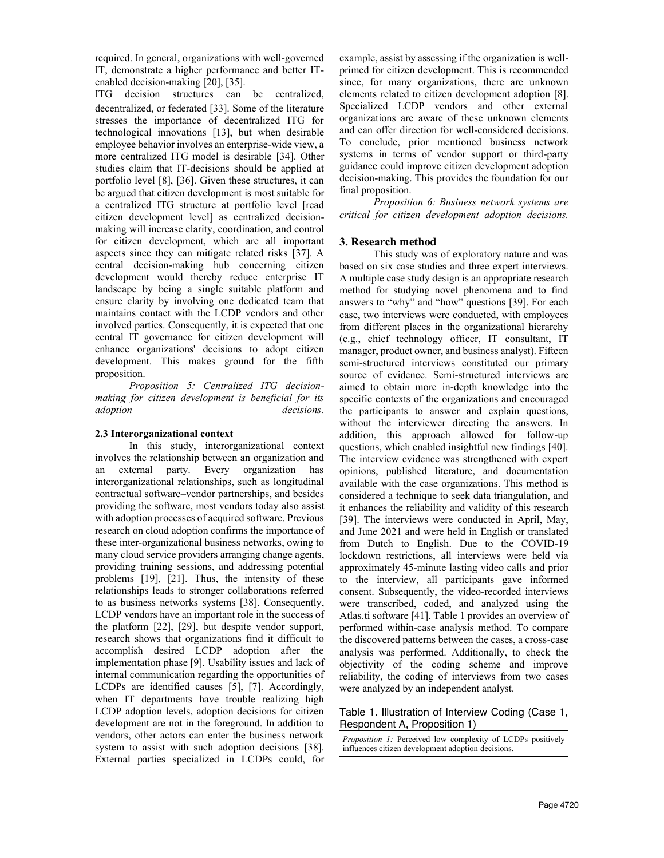required. In general, organizations with well-governed IT, demonstrate a higher performance and better ITenabled decision-making [20], [35].

ITG decision structures can be centralized, decentralized, or federated [33]. Some of the literature stresses the importance of decentralized ITG for technological innovations [13], but when desirable employee behavior involves an enterprise-wide view, a more centralized ITG model is desirable [34]. Other studies claim that IT-decisions should be applied at portfolio level [8], [36]. Given these structures, it can be argued that citizen development is most suitable for a centralized ITG structure at portfolio level [read citizen development level] as centralized decisionmaking will increase clarity, coordination, and control for citizen development, which are all important aspects since they can mitigate related risks [37]. A central decision-making hub concerning citizen development would thereby reduce enterprise IT landscape by being a single suitable platform and ensure clarity by involving one dedicated team that maintains contact with the LCDP vendors and other involved parties. Consequently, it is expected that one central IT governance for citizen development will enhance organizations' decisions to adopt citizen development. This makes ground for the fifth proposition.

*Proposition 5: Centralized ITG decisionmaking for citizen development is beneficial for its adoption decisions.* 

### **2.3 Interorganizational context**

In this study, interorganizational context involves the relationship between an organization and an external party. Every organization has interorganizational relationships, such as longitudinal contractual software–vendor partnerships, and besides providing the software, most vendors today also assist with adoption processes of acquired software. Previous research on cloud adoption confirms the importance of these inter-organizational business networks, owing to many cloud service providers arranging change agents, providing training sessions, and addressing potential problems [19], [21]. Thus, the intensity of these relationships leads to stronger collaborations referred to as business networks systems [38]. Consequently, LCDP vendors have an important role in the success of the platform [22], [29], but despite vendor support, research shows that organizations find it difficult to accomplish desired LCDP adoption after the implementation phase [9]. Usability issues and lack of internal communication regarding the opportunities of LCDPs are identified causes [5], [7]. Accordingly, when IT departments have trouble realizing high LCDP adoption levels, adoption decisions for citizen development are not in the foreground. In addition to vendors, other actors can enter the business network system to assist with such adoption decisions [38]. External parties specialized in LCDPs could, for example, assist by assessing if the organization is wellprimed for citizen development. This is recommended since, for many organizations, there are unknown elements related to citizen development adoption [8]. Specialized LCDP vendors and other external organizations are aware of these unknown elements and can offer direction for well-considered decisions. To conclude, prior mentioned business network systems in terms of vendor support or third-party guidance could improve citizen development adoption decision-making. This provides the foundation for our final proposition.

*Proposition 6: Business network systems are critical for citizen development adoption decisions.*

# **3. Research method**

This study was of exploratory nature and was based on six case studies and three expert interviews. A multiple case study design is an appropriate research method for studying novel phenomena and to find answers to "why" and "how" questions [39]. For each case, two interviews were conducted, with employees from different places in the organizational hierarchy (e.g., chief technology officer, IT consultant, IT manager, product owner, and business analyst). Fifteen semi-structured interviews constituted our primary source of evidence. Semi-structured interviews are aimed to obtain more in-depth knowledge into the specific contexts of the organizations and encouraged the participants to answer and explain questions, without the interviewer directing the answers. In addition, this approach allowed for follow-up questions, which enabled insightful new findings [40]. The interview evidence was strengthened with expert opinions, published literature, and documentation available with the case organizations. This method is considered a technique to seek data triangulation, and it enhances the reliability and validity of this research [39]. The interviews were conducted in April, May, and June 2021 and were held in English or translated from Dutch to English. Due to the COVID-19 lockdown restrictions, all interviews were held via approximately 45-minute lasting video calls and prior to the interview, all participants gave informed consent. Subsequently, the video-recorded interviews were transcribed, coded, and analyzed using the Atlas.ti software [41]. Table 1 provides an overview of performed within-case analysis method. To compare the discovered patterns between the cases, a cross-case analysis was performed. Additionally, to check the objectivity of the coding scheme and improve reliability, the coding of interviews from two cases were analyzed by an independent analyst.

### Table 1. Illustration of Interview Coding (Case 1, Respondent A, Proposition 1)

*Proposition 1:* Perceived low complexity of LCDPs positively influences citizen development adoption decisions.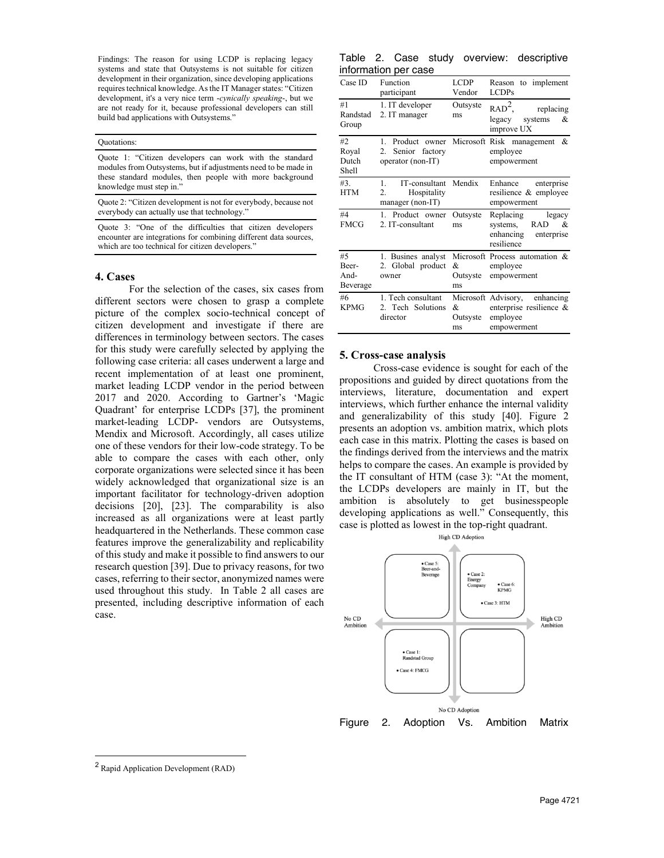Findings: The reason for using LCDP is replacing legacy systems and state that Outsystems is not suitable for citizen development in their organization, since developing applications requires technical knowledge. As the IT Manager states: "Citizen development, it's a very nice term -*cynically speaking*-, but we are not ready for it, because professional developers can still build bad applications with Outsystems."

#### Quotations:

Quote 1: "Citizen developers can work with the standard modules from Outsystems, but if adjustments need to be made in these standard modules, then people with more background knowledge must step in."

Quote 2: "Citizen development is not for everybody, because not everybody can actually use that technology."

Quote 3: "One of the difficulties that citizen developers encounter are integrations for combining different data sources, which are too technical for citizen developers."

#### **4. Cases**

For the selection of the cases, six cases from different sectors were chosen to grasp a complete picture of the complex socio-technical concept of citizen development and investigate if there are differences in terminology between sectors. The cases for this study were carefully selected by applying the following case criteria: all cases underwent a large and recent implementation of at least one prominent, market leading LCDP vendor in the period between 2017 and 2020. According to Gartner's 'Magic Quadrant' for enterprise LCDPs [37], the prominent market-leading LCDP- vendors are Outsystems, Mendix and Microsoft. Accordingly, all cases utilize one of these vendors for their low-code strategy. To be able to compare the cases with each other, only corporate organizations were selected since it has been widely acknowledged that organizational size is an important facilitator for technology-driven adoption decisions [20], [23]. The comparability is also increased as all organizations were at least partly headquartered in the Netherlands. These common case features improve the generalizability and replicability of this study and make it possible to find answers to our research question [39]. Due to privacy reasons, for two cases, referring to their sector, anonymized names were used throughout this study. In Table 2 all cases are presented, including descriptive information of each case.

|  |                      |  | Table 2. Case study overview: descriptive |
|--|----------------------|--|-------------------------------------------|
|  | information per case |  |                                           |

| Case ID                         | Function<br>participant                                                     | LCDP<br>Vendor         | to implement<br>Reason<br><b>LCDPs</b>                                                 |
|---------------------------------|-----------------------------------------------------------------------------|------------------------|----------------------------------------------------------------------------------------|
| #1<br>Randstad<br>Group         | 1. IT developer<br>2. IT manager                                            | Outsyste<br>ms         | RAD <sup>2</sup><br>replacing<br>legacy<br>systems<br>&<br>improve UX                  |
| #2<br>Royal<br>Dutch<br>Shell   | Product owner<br>$1$ .<br>Senior factory<br>2.<br>operator (non-IT)         |                        | Microsoft Risk management &<br>employee<br>empowerment                                 |
| #3.<br><b>HTM</b>               | IT-consultant Mendix<br>$1_{-}$<br>Hospitality<br>2.<br>$m$ anager (non-IT) |                        | Enhance<br>enterprise<br>resilience & employee<br>empowerment                          |
| #4<br><b>FMCG</b>               | 1. Product owner<br>2. IT-consultant                                        | Outsyste<br>ms         | Replacing legacy<br><b>RAD</b><br>systems,<br>&<br>enhancing enterprise<br>resilience  |
| #5<br>Beer-<br>And-<br>Beverage | 1. Busines analyst<br>2. Global product<br>owner                            | &<br>Outsyste<br>ms    | Microsoft Process automation &<br>employee<br>empowerment                              |
| #6<br><b>KPMG</b>               | 1. Tech consultant<br>2. Tech Solutions<br>director                         | $\&$<br>Outsyste<br>ms | Microsoft Advisory, enhancing<br>enterprise resilience $\&$<br>employee<br>empowerment |

#### **5. Cross-case analysis**

Cross-case evidence is sought for each of the propositions and guided by direct quotations from the interviews, literature, documentation and expert interviews, which further enhance the internal validity and generalizability of this study [40]. Figure 2 presents an adoption vs. ambition matrix, which plots each case in this matrix. Plotting the cases is based on the findings derived from the interviews and the matrix helps to compare the cases. An example is provided by the IT consultant of HTM (case 3): "At the moment, the LCDPs developers are mainly in IT, but the ambition is absolutely to get businesspeople developing applications as well." Consequently, this case is plotted as lowest in the top-right quadrant.



<sup>2</sup> Rapid Application Development (RAD)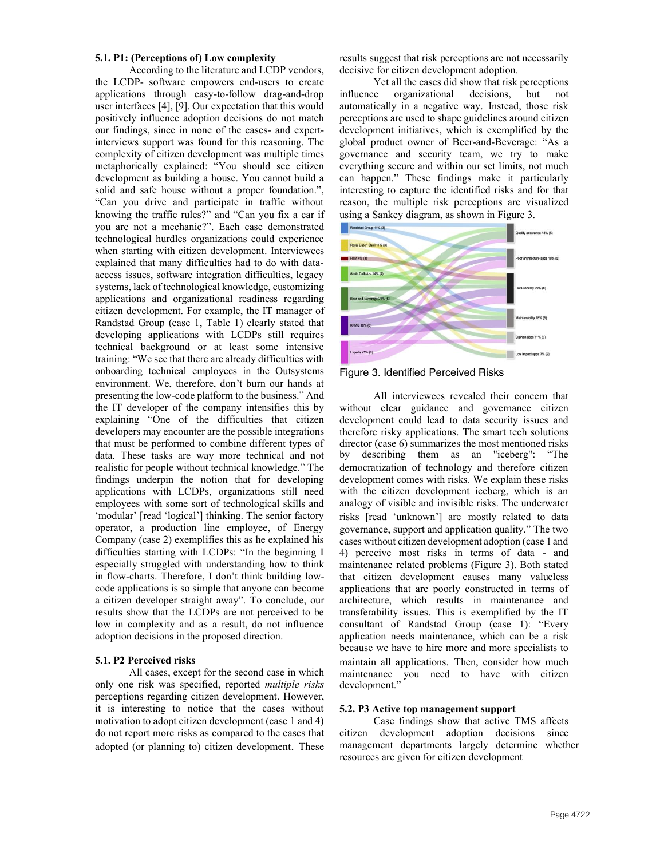### **5.1. P1: (Perceptions of) Low complexity**

According to the literature and LCDP vendors, the LCDP- software empowers end-users to create applications through easy-to-follow drag-and-drop user interfaces [4], [9]. Our expectation that this would positively influence adoption decisions do not match our findings, since in none of the cases- and expertinterviews support was found for this reasoning. The complexity of citizen development was multiple times metaphorically explained: "You should see citizen development as building a house. You cannot build a solid and safe house without a proper foundation.", "Can you drive and participate in traffic without knowing the traffic rules?" and "Can you fix a car if you are not a mechanic?". Each case demonstrated technological hurdles organizations could experience when starting with citizen development. Interviewees explained that many difficulties had to do with dataaccess issues, software integration difficulties, legacy systems, lack of technological knowledge, customizing applications and organizational readiness regarding citizen development. For example, the IT manager of Randstad Group (case 1, Table 1) clearly stated that developing applications with LCDPs still requires technical background or at least some intensive training: "We see that there are already difficulties with onboarding technical employees in the Outsystems environment. We, therefore, don't burn our hands at presenting the low-code platform to the business." And the IT developer of the company intensifies this by explaining "One of the difficulties that citizen developers may encounter are the possible integrations that must be performed to combine different types of data. These tasks are way more technical and not realistic for people without technical knowledge." The findings underpin the notion that for developing applications with LCDPs, organizations still need employees with some sort of technological skills and 'modular' [read 'logical'] thinking. The senior factory operator, a production line employee, of Energy Company (case 2) exemplifies this as he explained his difficulties starting with LCDPs: "In the beginning I especially struggled with understanding how to think in flow-charts. Therefore, I don't think building lowcode applications is so simple that anyone can become a citizen developer straight away". To conclude, our results show that the LCDPs are not perceived to be low in complexity and as a result, do not influence adoption decisions in the proposed direction.

# **5.1. P2 Perceived risks**

All cases, except for the second case in which only one risk was specified, reported *multiple risks* perceptions regarding citizen development. However, it is interesting to notice that the cases without motivation to adopt citizen development (case 1 and 4) do not report more risks as compared to the cases that adopted (or planning to) citizen development. These results suggest that risk perceptions are not necessarily decisive for citizen development adoption.

Yet all the cases did show that risk perceptions influence organizational decisions, but not automatically in a negative way. Instead, those risk perceptions are used to shape guidelines around citizen development initiatives, which is exemplified by the global product owner of Beer-and-Beverage: "As a governance and security team, we try to make everything secure and within our set limits, not much can happen." These findings make it particularly interesting to capture the identified risks and for that reason, the multiple risk perceptions are visualized using a Sankey diagram, as shown in Figure 3.



Figure 3. Identified Perceived Risks

All interviewees revealed their concern that without clear guidance and governance citizen development could lead to data security issues and therefore risky applications. The smart tech solutions director (case 6) summarizes the most mentioned risks by describing them as an "iceberg": "The democratization of technology and therefore citizen development comes with risks. We explain these risks with the citizen development iceberg, which is an analogy of visible and invisible risks. The underwater risks [read 'unknown'] are mostly related to data governance, support and application quality." The two cases without citizen development adoption (case 1and 4) perceive most risks in terms of data - and maintenance related problems (Figure 3). Both stated that citizen development causes many valueless applications that are poorly constructed in terms of architecture, which results in maintenance and transferability issues. This is exemplified by the IT consultant of Randstad Group (case 1): "Every application needs maintenance, which can be a risk because we have to hire more and more specialists to maintain all applications. Then, consider how much maintenance you need to have with citizen development."

### **5.2. P3 Active top management support**

Case findings show that active TMS affects citizen development adoption decisions since management departments largely determine whether resources are given for citizen development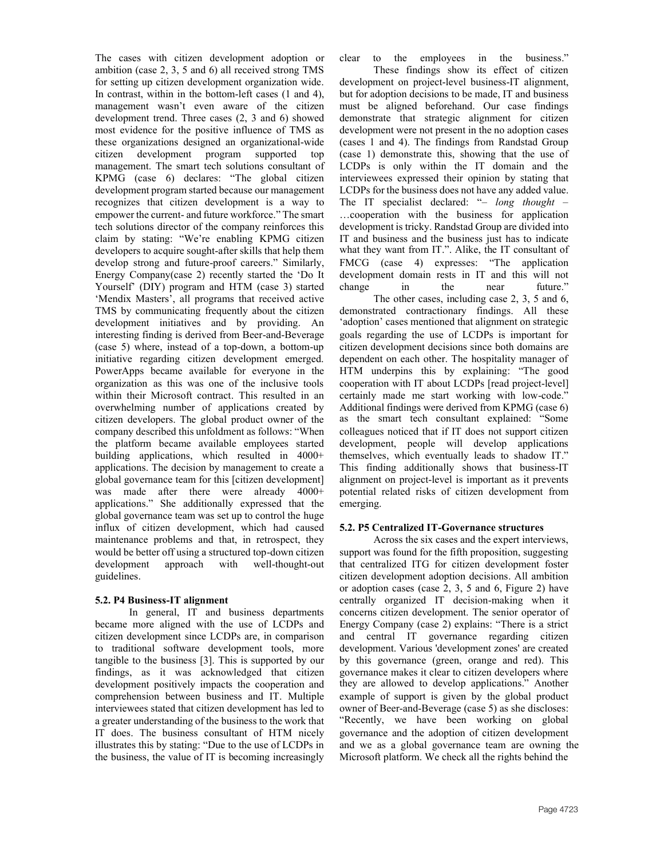The cases with citizen development adoption or ambition (case 2, 3, 5 and 6) all received strong TMS for setting up citizen development organization wide. In contrast, within in the bottom-left cases (1 and 4), management wasn't even aware of the citizen development trend. Three cases (2, 3 and 6) showed most evidence for the positive influence of TMS as these organizations designed an organizational-wide citizen development program supported top management. The smart tech solutions consultant of KPMG (case 6) declares: "The global citizen development program started because our management recognizes that citizen development is a way to empower the current- and future workforce." The smart tech solutions director of the company reinforces this claim by stating: "We're enabling KPMG citizen developers to acquire sought-after skills that help them develop strong and future-proof careers." Similarly, Energy Company(case 2) recently started the 'Do It Yourself' (DIY) program and HTM (case 3) started 'Mendix Masters', all programs that received active TMS by communicating frequently about the citizen development initiatives and by providing. An interesting finding is derived from Beer-and-Beverage (case 5) where, instead of a top-down, a bottom-up initiative regarding citizen development emerged. PowerApps became available for everyone in the organization as this was one of the inclusive tools within their Microsoft contract. This resulted in an overwhelming number of applications created by citizen developers. The global product owner of the company described this unfoldment as follows: "When the platform became available employees started building applications, which resulted in 4000+ applications. The decision by management to create a global governance team for this [citizen development] was made after there were already 4000+ applications." She additionally expressed that the global governance team was set up to control the huge influx of citizen development, which had caused maintenance problems and that, in retrospect, they would be better off using a structured top-down citizen development approach with well-thought-out guidelines.

# **5.2. P4 Business-IT alignment**

In general, IT and business departments became more aligned with the use of LCDPs and citizen development since LCDPs are, in comparison to traditional software development tools, more tangible to the business [3]. This is supported by our findings, as it was acknowledged that citizen development positively impacts the cooperation and comprehension between business and IT. Multiple interviewees stated that citizen development has led to a greater understanding of the business to the work that IT does. The business consultant of HTM nicely illustrates this by stating: "Due to the use of LCDPs in the business, the value of IT is becoming increasingly clear to the employees in the business."

These findings show its effect of citizen development on project-level business-IT alignment, but for adoption decisions to be made, IT and business must be aligned beforehand. Our case findings demonstrate that strategic alignment for citizen development were not present in the no adoption cases (cases 1 and 4). The findings from Randstad Group (case 1) demonstrate this, showing that the use of LCDPs is only within the IT domain and the interviewees expressed their opinion by stating that LCDPs for the business does not have any added value. The IT specialist declared: "– *long thought* – …cooperation with the business for application development is tricky. Randstad Group are divided into IT and business and the business just has to indicate what they want from IT.". Alike, the IT consultant of FMCG (case 4) expresses: "The application development domain rests in IT and this will not change in the near future."

The other cases, including case 2, 3, 5 and 6, demonstrated contractionary findings. All these 'adoption' cases mentioned that alignment on strategic goals regarding the use of LCDPs is important for citizen development decisions since both domains are dependent on each other. The hospitality manager of HTM underpins this by explaining: "The good cooperation with IT about LCDPs [read project-level] certainly made me start working with low-code." Additional findings were derived from KPMG (case 6) as the smart tech consultant explained: "Some colleagues noticed that if IT does not support citizen development, people will develop applications themselves, which eventually leads to shadow IT." This finding additionally shows that business-IT alignment on project-level is important as it prevents potential related risks of citizen development from emerging.

# **5.2. P5 Centralized IT-Governance structures**

Across the six cases and the expert interviews, support was found for the fifth proposition, suggesting that centralized ITG for citizen development foster citizen development adoption decisions. All ambition or adoption cases (case 2, 3, 5 and 6, Figure 2) have centrally organized IT decision-making when it concerns citizen development. The senior operator of Energy Company (case 2) explains: "There is a strict and central IT governance regarding citizen development. Various 'development zones' are created by this governance (green, orange and red). This governance makes it clear to citizen developers where they are allowed to develop applications." Another example of support is given by the global product owner of Beer-and-Beverage (case 5) as she discloses: "Recently, we have been working on global governance and the adoption of citizen development and we as a global governance team are owning the Microsoft platform. We check all the rights behind the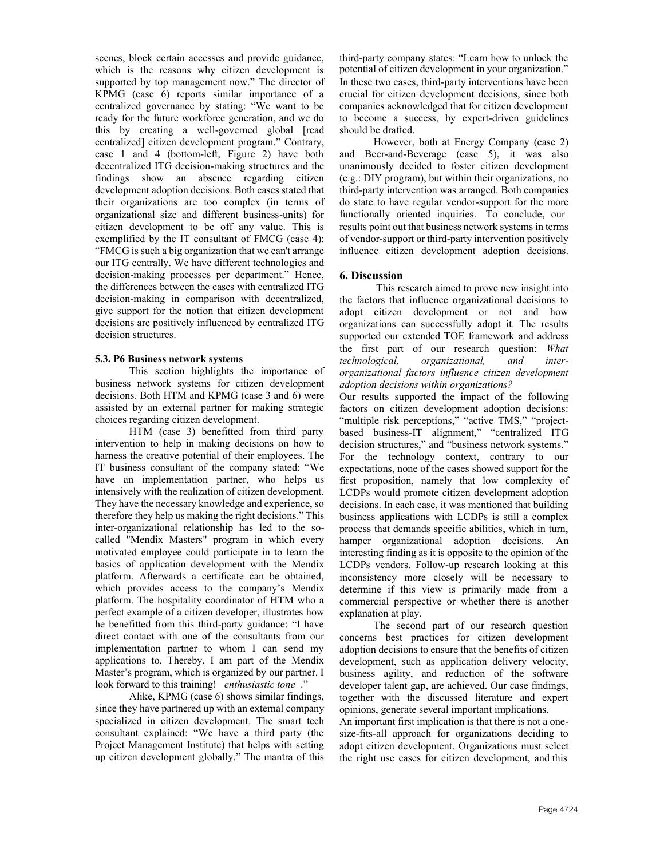scenes, block certain accesses and provide guidance, which is the reasons why citizen development is supported by top management now." The director of KPMG (case 6) reports similar importance of a centralized governance by stating: "We want to be ready for the future workforce generation, and we do this by creating a well-governed global [read centralized] citizen development program." Contrary, case 1 and 4 (bottom-left, Figure 2) have both decentralized ITG decision-making structures and the findings show an absence regarding citizen development adoption decisions. Both cases stated that their organizations are too complex (in terms of organizational size and different business-units) for citizen development to be off any value. This is exemplified by the IT consultant of FMCG (case 4): "FMCG is such a big organization that we can't arrange our ITG centrally. We have different technologies and decision-making processes per department." Hence, the differences between the cases with centralized ITG decision-making in comparison with decentralized, give support for the notion that citizen development decisions are positively influenced by centralized ITG decision structures.

# **5.3. P6 Business network systems**

This section highlights the importance of business network systems for citizen development decisions. Both HTM and KPMG (case 3 and 6) were assisted by an external partner for making strategic choices regarding citizen development.

HTM (case 3) benefitted from third party intervention to help in making decisions on how to harness the creative potential of their employees. The IT business consultant of the company stated: "We have an implementation partner, who helps us intensively with the realization of citizen development. They have the necessary knowledge and experience, so therefore they help us making the right decisions." This inter-organizational relationship has led to the socalled "Mendix Masters" program in which every motivated employee could participate in to learn the basics of application development with the Mendix platform. Afterwards a certificate can be obtained, which provides access to the company's Mendix platform. The hospitality coordinator of HTM who a perfect example of a citizen developer, illustrates how he benefitted from this third-party guidance: "I have direct contact with one of the consultants from our implementation partner to whom I can send my applications to. Thereby, I am part of the Mendix Master's program, which is organized by our partner. I look forward to this training! –*enthusiastic tone*–."

Alike, KPMG (case 6) shows similar findings, since they have partnered up with an external company specialized in citizen development. The smart tech consultant explained: "We have a third party (the Project Management Institute) that helps with setting up citizen development globally." The mantra of this third-party company states: "Learn how to unlock the potential of citizen development in your organization." In these two cases, third-party interventions have been crucial for citizen development decisions, since both companies acknowledged that for citizen development to become a success, by expert-driven guidelines should be drafted.

However, both at Energy Company (case 2) and Beer-and-Beverage (case 5), it was also unanimously decided to foster citizen development (e.g.: DIY program), but within their organizations, no third-party intervention was arranged. Both companies do state to have regular vendor-support for the more functionally oriented inquiries. To conclude, our results point out that business network systems in terms of vendor-support or third-party intervention positively influence citizen development adoption decisions.

# **6. Discussion**

 This research aimed to prove new insight into the factors that influence organizational decisions to adopt citizen development or not and how organizations can successfully adopt it. The results supported our extended TOE framework and address the first part of our research question: *What technological, organizational, and interorganizational factors influence citizen development adoption decisions within organizations?*

Our results supported the impact of the following factors on citizen development adoption decisions: "multiple risk perceptions," "active TMS," "projectbased business-IT alignment," "centralized ITG decision structures," and "business network systems." For the technology context, contrary to our expectations, none of the cases showed support for the first proposition, namely that low complexity of LCDPs would promote citizen development adoption decisions. In each case, it was mentioned that building business applications with LCDPs is still a complex process that demands specific abilities, which in turn, hamper organizational adoption decisions. An interesting finding as it is opposite to the opinion of the LCDPs vendors. Follow-up research looking at this inconsistency more closely will be necessary to determine if this view is primarily made from a commercial perspective or whether there is another explanation at play.

The second part of our research question concerns best practices for citizen development adoption decisions to ensure that the benefits of citizen development, such as application delivery velocity, business agility, and reduction of the software developer talent gap, are achieved. Our case findings, together with the discussed literature and expert opinions, generate several important implications.

An important first implication is that there is not a onesize-fits-all approach for organizations deciding to adopt citizen development. Organizations must select the right use cases for citizen development, and this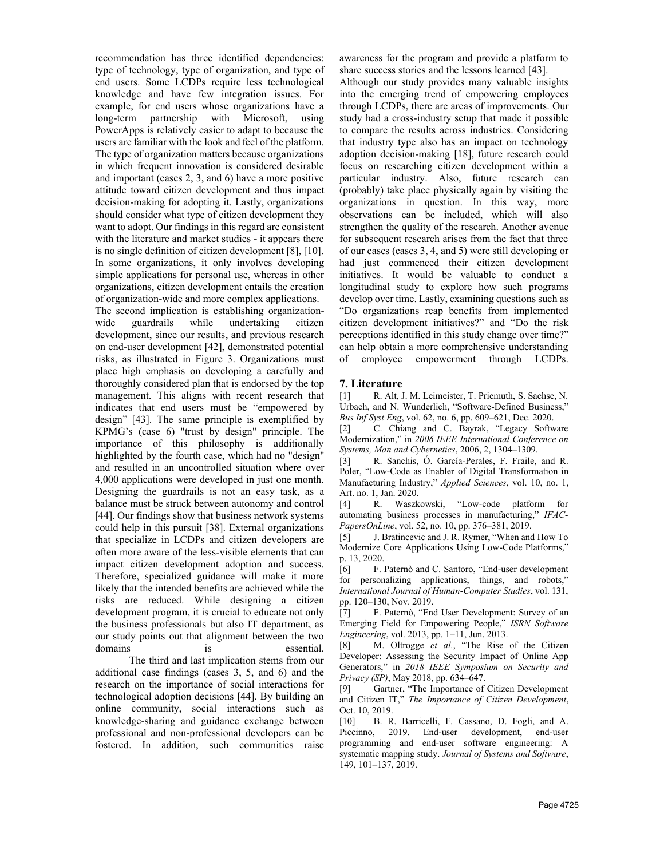recommendation has three identified dependencies: type of technology, type of organization, and type of end users. Some LCDPs require less technological knowledge and have few integration issues. For example, for end users whose organizations have a long-term partnership with Microsoft, using PowerApps is relatively easier to adapt to because the users are familiar with the look and feel of the platform. The type of organization matters because organizations in which frequent innovation is considered desirable and important (cases 2, 3, and 6) have a more positive attitude toward citizen development and thus impact decision-making for adopting it. Lastly, organizations should consider what type of citizen development they want to adopt. Our findings in this regard are consistent with the literature and market studies - it appears there is no single definition of citizen development [8], [10]. In some organizations, it only involves developing simple applications for personal use, whereas in other organizations, citizen development entails the creation of organization-wide and more complex applications.

The second implication is establishing organizationwide guardrails while undertaking citizen development, since our results, and previous research on end-user development [42], demonstrated potential risks, as illustrated in Figure 3. Organizations must place high emphasis on developing a carefully and thoroughly considered plan that is endorsed by the top management. This aligns with recent research that indicates that end users must be "empowered by design" [43]. The same principle is exemplified by KPMG's (case 6) "trust by design" principle. The importance of this philosophy is additionally highlighted by the fourth case, which had no "design" and resulted in an uncontrolled situation where over 4,000 applications were developed in just one month. Designing the guardrails is not an easy task, as a balance must be struck between autonomy and control [44]. Our findings show that business network systems could help in this pursuit [38]. External organizations that specialize in LCDPs and citizen developers are often more aware of the less-visible elements that can impact citizen development adoption and success. Therefore, specialized guidance will make it more likely that the intended benefits are achieved while the risks are reduced. While designing a citizen development program, it is crucial to educate not only the business professionals but also IT department, as our study points out that alignment between the two domains is essential.

The third and last implication stems from our additional case findings (cases 3, 5, and 6) and the research on the importance of social interactions for technological adoption decisions [44]. By building an online community, social interactions such as knowledge-sharing and guidance exchange between professional and non-professional developers can be fostered. In addition, such communities raise awareness for the program and provide a platform to share success stories and the lessons learned [43].

Although our study provides many valuable insights into the emerging trend of empowering employees through LCDPs, there are areas of improvements. Our study had a cross-industry setup that made it possible to compare the results across industries. Considering that industry type also has an impact on technology adoption decision-making [18], future research could focus on researching citizen development within a particular industry. Also, future research can (probably) take place physically again by visiting the organizations in question. In this way, more observations can be included, which will also strengthen the quality of the research. Another avenue for subsequent research arises from the fact that three of our cases (cases 3, 4, and 5) were still developing or had just commenced their citizen development initiatives. It would be valuable to conduct a longitudinal study to explore how such programs develop over time. Lastly, examining questions such as "Do organizations reap benefits from implemented citizen development initiatives?" and "Do the risk perceptions identified in this study change over time?" can help obtain a more comprehensive understanding of employee empowerment through LCDPs.

# **7. Literature**

[1] R. Alt, J. M. Leimeister, T. Priemuth, S. Sachse, N. Urbach, and N. Wunderlich, "Software-Defined Business," *Bus Inf Syst Eng*, vol. 62, no. 6, pp. 609–621, Dec. 2020.

[2] C. Chiang and C. Bayrak, "Legacy Software Modernization," in *2006 IEEE International Conference on Systems, Man and Cybernetics*, 2006, 2, 1304–1309.

[3] R. Sanchis, Ó. García-Perales, F. Fraile, and R. Poler, "Low-Code as Enabler of Digital Transformation in Manufacturing Industry," *Applied Sciences*, vol. 10, no. 1, Art. no. 1, Jan. 2020.<br>[4] R. Waszkowski.

[4] R. Waszkowski, "Low-code platform for automating business processes in manufacturing," *IFAC-PapersOnLine*, vol. 52, no. 10, pp. 376–381, 2019.

[5] J. Bratincevic and J. R. Rymer, "When and How To Modernize Core Applications Using Low-Code Platforms," p. 13, 2020.

[6] F. Paternò and C. Santoro, "End-user development for personalizing applications, things, and robots," *International Journal of Human-Computer Studies*, vol. 131, pp. 120–130, Nov. 2019.

[7] F. Paternò, "End User Development: Survey of an Emerging Field for Empowering People," *ISRN Software Engineering*, vol. 2013, pp. 1–11, Jun. 2013.

[8] M. Oltrogge *et al.*, "The Rise of the Citizen Developer: Assessing the Security Impact of Online App Generators," in *2018 IEEE Symposium on Security and Privacy (SP)*, May 2018, pp. 634–647.

[9] Gartner, "The Importance of Citizen Development and Citizen IT," *The Importance of Citizen Development*, Oct. 10, 2019.

[10] B. R. Barricelli, F. Cassano, D. Fogli, and A. Piccinno, 2019. End-user development, end-user programming and end-user software engineering: A systematic mapping study. *Journal of Systems and Software*, 149, 101–137, 2019.